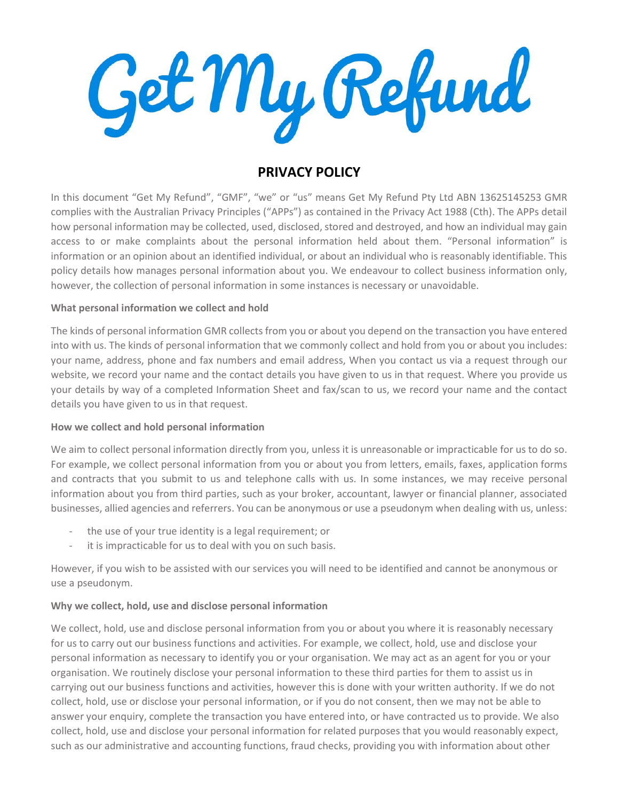Get My Refund

# PRIVACY POLICY

In this document "Get My Refund", "GMF", "we" or "us" means Get My Refund Pty Ltd ABN 13625145253 GMR complies with the Australian Privacy Principles ("APPs") as contained in the Privacy Act 1988 (Cth). The APPs detail how personal information may be collected, used, disclosed, stored and destroyed, and how an individual may gain access to or make complaints about the personal information held about them. "Personal information" is information or an opinion about an identified individual, or about an individual who is reasonably identifiable. This policy details how manages personal information about you. We endeavour to collect business information only, however, the collection of personal information in some instances is necessary or unavoidable.

## What personal information we collect and hold

The kinds of personal information GMR collects from you or about you depend on the transaction you have entered into with us. The kinds of personal information that we commonly collect and hold from you or about you includes: your name, address, phone and fax numbers and email address, When you contact us via a request through our website, we record your name and the contact details you have given to us in that request. Where you provide us your details by way of a completed Information Sheet and fax/scan to us, we record your name and the contact details you have given to us in that request.

### How we collect and hold personal information

We aim to collect personal information directly from you, unless it is unreasonable or impracticable for us to do so. For example, we collect personal information from you or about you from letters, emails, faxes, application forms and contracts that you submit to us and telephone calls with us. In some instances, we may receive personal information about you from third parties, such as your broker, accountant, lawyer or financial planner, associated businesses, allied agencies and referrers. You can be anonymous or use a pseudonym when dealing with us, unless:

- the use of your true identity is a legal requirement; or
- it is impracticable for us to deal with you on such basis.

However, if you wish to be assisted with our services you will need to be identified and cannot be anonymous or use a pseudonym.

# Why we collect, hold, use and disclose personal information

We collect, hold, use and disclose personal information from you or about you where it is reasonably necessary for us to carry out our business functions and activities. For example, we collect, hold, use and disclose your personal information as necessary to identify you or your organisation. We may act as an agent for you or your organisation. We routinely disclose your personal information to these third parties for them to assist us in carrying out our business functions and activities, however this is done with your written authority. If we do not collect, hold, use or disclose your personal information, or if you do not consent, then we may not be able to answer your enquiry, complete the transaction you have entered into, or have contracted us to provide. We also collect, hold, use and disclose your personal information for related purposes that you would reasonably expect, such as our administrative and accounting functions, fraud checks, providing you with information about other